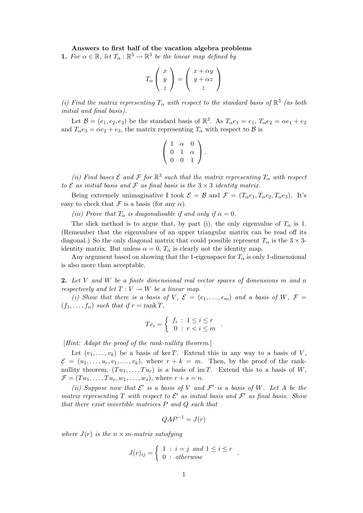## Answers to first half of the vacation algebra problems

**1.** For  $\alpha \in \mathbb{R}$ , let  $T_{\alpha} : \mathbb{R}^3 \to \mathbb{R}^3$  be the linear map defined by

$$
T_{\alpha}\left(\begin{array}{c} x \\ y \\ z \end{array}\right) = \left(\begin{array}{c} x + \alpha y \\ y + \alpha z \\ z \end{array}\right)
$$

(i) Find the matrix representing  $T_{\alpha}$  with respect to the standard basis of  $\mathbb{R}^3$  (as both initial and final basis).

Let  $\mathcal{B} = (e_1, e_2, e_3)$  be the standard basis of  $\mathbb{R}^3$ . As  $T_\alpha e_1 = e_1$ ,  $T_\alpha e_2 = \alpha e_1 + e_2$ and  $T_{\alpha}e_3 = \alpha e_2 + e_3$ , the matrix representing  $T_{\alpha}$  with respect to  $\beta$  is

$$
\left(\begin{array}{ccc} 1 & \alpha & 0 \\ 0 & 1 & \alpha \\ 0 & 0 & 1 \end{array}\right).
$$

(ii) Find bases  $\mathcal E$  and  $\mathcal F$  for  $\mathbb R^3$  such that the matrix representing  $T_\alpha$  with respect to  $\mathcal E$  as initial basis and  $\mathcal F$  as final basis is the  $3 \times 3$  identity matrix.

Being extremely unimaginative I took  $\mathcal{E} = \mathcal{B}$  and  $\mathcal{F} = (T_{\alpha}e_1, T_{\alpha}e_2, T_{\alpha}e_3)$ . It's easy to check that  $\mathcal F$  is a basis (for any  $\alpha$ ).

(iii) Prove that  $T_{\alpha}$  is diagonalisable if and only if  $\alpha = 0$ .

The slick method is to argue that, by part (i), the only eigenvalue of  $T_{\alpha}$  is 1. (Remember that the eigenvalues of an upper triangular matrix can be read off its diagonal.) So the only diagonal matrix that could possible represent  $T_{\alpha}$  is the  $3 \times 3$ identity matrix. But unless  $\alpha = 0$ ,  $T_{\alpha}$  is clearly not the identity map.

Any argument based on showing that the 1-eigenspace for  $T_{\alpha}$  is only 1-dimensional is also more than acceptable.

**2.** Let V and W be a finite dimensional real vector spaces of dimensions  $m$  and  $n$ respectively and let  $T: V \to W$  be a linear map.

(i) Show that there is a basis of V,  $\mathcal{E} = (e_1, \ldots, e_m)$  and a basis of W,  $\mathcal{F} =$  $(f_1, \ldots, f_n)$  such that if  $r = \text{rank } T$ ,

$$
Te_i = \left\{ \begin{array}{l} f_i : 1 \leq i \leq r \\ 0 : r < i \leq m \end{array} \right..
$$

[Hint: Adapt the proof of the rank-nullity theorem.]

Let  $(v_1, \ldots, v_k)$  be a basis of ker T. Extend this in any way to a basis of V,  $\mathcal{E} = (u_1, \ldots, u_r, v_1, \ldots, v_k)$ , where  $r + k = m$ . Then, by the proof of the ranknullity theorem,  $(T u_1, \ldots, T u_r)$  is a basis of im T. Extend this to a basis of W,  $\mathcal{F} = (Tu_1, ..., Tu_r, w_1, ..., w_s)$ , where  $r + s = n$ .

(ii) Suppose now that  $\mathcal{E}'$  is a basis of V and  $\mathcal{F}'$  is a basis of W. Let A be the matrix representing T with respect to  $\mathcal{E}'$  as initial basis and  $\mathcal{F}'$  as final basis. Show that there exist invertible matrices P and Q such that

$$
QAP^{-1} = J(r)
$$

where  $J(r)$  is the  $n \times m$ -matrix satisfying

$$
J(r)_{ij} = \begin{cases} 1 : i = j \text{ and } 1 \leq i \leq r \\ 0 : otherwise \end{cases}.
$$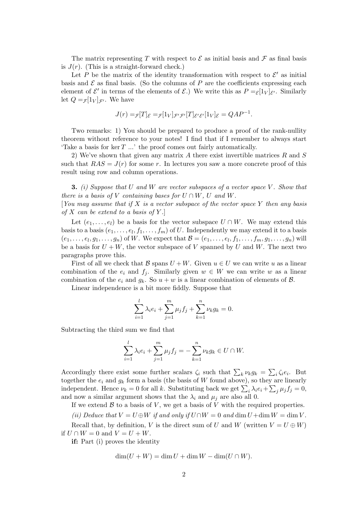The matrix representing T with respect to  $\mathcal E$  as initial basis and  $\mathcal F$  as final basis is  $J(r)$ . (This is a straight-forward check.)

Let P be the matrix of the identity transformation with respect to  $\mathcal{E}'$  as initial basis and  $\mathcal E$  as final basis. (So the columns of P are the coefficients expressing each element of  $\mathcal{E}'$  in terms of the elements of  $\mathcal{E}$ .) We write this as  $P = \varepsilon[1_V]_{\mathcal{E}'}$ . Similarly let  $Q = f[1_V]_{\mathcal{F}}$ . We have

$$
J(r) = \mathcal{F}[T]_{\mathcal{E}} = \mathcal{F}[1_V]_{\mathcal{F}'\mathcal{F}'}[T]_{\mathcal{E}'\mathcal{E}'}[1_V]_{\mathcal{E}} = QAP^{-1}.
$$

Two remarks: 1) You should be prepared to produce a proof of the rank-nullity theorem without reference to your notes! I find that if I remember to always start 'Take a basis for  $\ker T$  ...' the proof comes out fairly automatically.

2) We've shown that given any matrix A there exist invertible matrices R and S such that  $RAS = J(r)$  for some r. In lectures you saw a more concrete proof of this result using row and column operations.

**3.** (i) Suppose that U and W are vector subspaces of a vector space V. Show that there is a basis of V containing bases for  $U \cap W$ , U and W.

[You may assume that if X is a vector subspace of the vector space Y then any basis of X can be extend to a basis of  $Y$ .

Let  $(e_1, \ldots, e_l)$  be a basis for the vector subspace  $U \cap W$ . We may extend this basis to a basis  $(e_1, \ldots, e_l, f_1, \ldots, f_m)$  of U. Independently we may extend it to a basis  $(e_1,\ldots,e_l,g_1,\ldots,g_n)$  of W. We expect that  $\mathcal{B}=(e_1,\ldots,e_l,f_1,\ldots,f_m,g_1,\ldots,g_n)$  will be a basis for  $U + W$ , the vector subspace of V spanned by U and W. The next two paragraphs prove this.

First of all we check that B spans  $U + W$ . Given  $u \in U$  we can write u as a linear combination of the  $e_i$  and  $f_j$ . Similarly given  $w \in W$  we can write w as a linear combination of the  $e_i$  and  $g_k$ . So  $u + w$  is a linear combination of elements of  $\beta$ .

Linear independence is a bit more fiddly. Suppose that

$$
\sum_{i=1}^{l} \lambda_i e_i + \sum_{j=1}^{m} \mu_j f_j + \sum_{k=1}^{n} \nu_k g_k = 0.
$$

Subtracting the third sum we find that

$$
\sum_{i=1}^{l} \lambda_i e_i + \sum_{j=1}^{m} \mu_j f_j = -\sum_{k=1}^{n} \nu_k g_k \in U \cap W.
$$

Accordingly there exist some further scalars  $\zeta_i$  such that  $\sum_k \nu_k g_k = \sum_i \zeta_i e_i$ . But together the  $e_i$  and  $g_k$  form a basis (the basis of W found above), so they are linearly independent. Hence  $\nu_k = 0$  for all k. Substituting back we get  $\sum_i \lambda_i e_i + \sum_j \mu_j f_j = 0$ , and now a similar argument shows that the  $\lambda_i$  and  $\mu_j$  are also all 0.

If we extend  $\mathcal B$  to a basis of V, we get a basis of V with the required properties.

(ii) Deduce that  $V = U \oplus W$  if and only if  $U \cap W = 0$  and  $\dim U + \dim W = \dim V$ .

Recall that, by definition, V is the direct sum of U and W (written  $V = U \oplus W$ ) if  $U \cap W = 0$  and  $V = U + W$ .

if: Part (i) proves the identity

$$
\dim(U+W) = \dim U + \dim W - \dim(U \cap W).
$$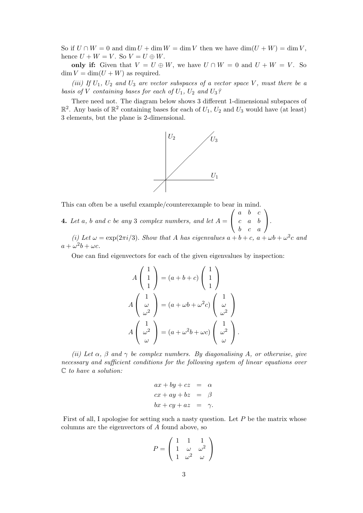So if  $U \cap W = 0$  and  $\dim U + \dim W = \dim V$  then we have  $\dim(U + W) = \dim V$ , hence  $U + W = V$ . So  $V = U \oplus W$ .

only if: Given that  $V = U \oplus W$ , we have  $U \cap W = 0$  and  $U + W = V$ . So  $\dim V = \dim(U+W)$  as required.

(iii) If  $U_1$ ,  $U_2$  and  $U_3$  are vector subspaces of a vector space V, must there be a basis of V containing bases for each of  $U_1$ ,  $U_2$  and  $U_3$ ?

There need not. The diagram below shows 3 different 1-dimensional subspaces of  $\mathbb{R}^2$ . Any basis of  $\mathbb{R}^2$  containing bases for each of  $U_1$ ,  $U_2$  and  $U_3$  would have (at least) 3 elements, but the plane is 2-dimensional.



This can often be a useful example/counterexample to bear in mind.

**4.** Let a, b and c be any 3 complex numbers, and let  $A =$  $\sqrt{ }$  $\overline{1}$  $a \quad b \quad c$  $c \quad a \quad b$  $b \quad c \quad a$  $\setminus$  $\cdot$ 

(i) Let  $\omega = \exp(2\pi i/3)$ . Show that A has eigenvalues  $a + b + c$ ,  $a + \omega b + \omega^2 c$  and  $a + \omega^2 b + \omega c.$ 

One can find eigenvectors for each of the given eigenvalues by inspection:

$$
A\begin{pmatrix} 1\\1\\1 \end{pmatrix} = (a+b+c)\begin{pmatrix} 1\\1\\1 \end{pmatrix}
$$

$$
A\begin{pmatrix} 1\\ \omega\\ \omega^2 \end{pmatrix} = (a+\omega b+\omega^2 c)\begin{pmatrix} 1\\ \omega\\ \omega^2 \end{pmatrix}
$$

$$
A\begin{pmatrix} 1\\ \omega^2\\ \omega \end{pmatrix} = (a+\omega^2 b + \omega c)\begin{pmatrix} 1\\ \omega^2\\ \omega \end{pmatrix}.
$$

(ii) Let  $\alpha$ ,  $\beta$  and  $\gamma$  be complex numbers. By diagonalising A, or otherwise, give necessary and sufficient conditions for the following system of linear equations over C to have a solution:

$$
ax + by + cz = \alpha
$$
  
\n
$$
cx + ay + bz = \beta
$$
  
\n
$$
bx + cy + az = \gamma
$$

First of all, I apologise for setting such a nasty question. Let  $P$  be the matrix whose columns are the eigenvectors of A found above, so

$$
P = \left(\begin{array}{ccc} 1 & 1 & 1 \\ 1 & \omega & \omega^2 \\ 1 & \omega^2 & \omega \end{array}\right)
$$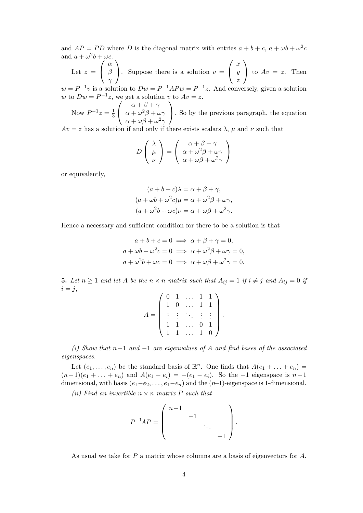and  $AP = PD$  where D is the diagonal matrix with entries  $a + b + c$ ,  $a + \omega b + \omega^2 c$ and  $a + \omega^2 b + \omega c$ .

Let  $z =$  $\sqrt{ }$  $\mathcal{L}$  $\alpha$ β  $\gamma$  $\setminus$ . Suppose there is a solution  $v =$  $\sqrt{ }$  $\overline{1}$  $\boldsymbol{x}$  $\hat{y}$ z  $\setminus$ to  $Av = z$ . Then

 $w = P^{-1}v$  is a solution to  $Dw = P^{-1}APw = P^{-1}z$ . And conversely, given a solution w to  $Dw = P^{-1}z$ , we get a solution v to  $Av = z$ .

Now  $P^{-1}z = \frac{1}{3}$ 3  $\sqrt{ }$  $\overline{1}$  $\alpha + \beta + \gamma$  $\alpha + \omega^2 \beta + \omega \gamma$  $\alpha + \omega\beta + \omega^2\gamma$  $\setminus$ . So by the previous paragraph, the equation  $Av = z$  has a solution if and only if there exists scalars  $\lambda$ ,  $\mu$  and  $\nu$  such that

$$
D\left(\begin{array}{c}\lambda\\\mu\\\nu\end{array}\right)=\left(\begin{array}{c}\alpha+\beta+\gamma\\\alpha+\omega^2\beta+\omega\gamma\\\alpha+\omega\beta+\omega^2\gamma\end{array}\right)
$$

or equivalently,

$$
(a+b+c)\lambda = \alpha + \beta + \gamma,
$$
  
\n
$$
(a+\omega b+\omega^2 c)\mu = \alpha + \omega^2 \beta + \omega \gamma,
$$
  
\n
$$
(a+\omega^2 b+\omega c)\nu = \alpha + \omega \beta + \omega^2 \gamma.
$$

Hence a necessary and sufficient condition for there to be a solution is that

$$
a+b+c=0 \implies \alpha + \beta + \gamma = 0,
$$
  
\n
$$
a+\omega b+\omega^2 c=0 \implies \alpha + \omega^2 \beta + \omega \gamma = 0,
$$
  
\n
$$
a+\omega^2 b+\omega c=0 \implies \alpha + \omega \beta + \omega^2 \gamma = 0.
$$

**5.** Let  $n \geq 1$  and let A be the  $n \times n$  matrix such that  $A_{ij} = 1$  if  $i \neq j$  and  $A_{ij} = 0$  if  $i = j$ ,

|  |              | $\begin{pmatrix} 0 & 1 & \dots & 1 & 1 \\ 1 & 0 & \dots & 1 & 1 \end{pmatrix}$ |                |                |  |
|--|--------------|--------------------------------------------------------------------------------|----------------|----------------|--|
|  |              | $\mathcal{L}_{\mathbf{r},\mathbf{r}}$                                          |                |                |  |
|  |              | 注册标注主                                                                          |                |                |  |
|  | $\mathbf{1}$ | $\mathbb{Z}_{24}$                                                              | $\overline{0}$ |                |  |
|  |              | $1 \ldots$                                                                     |                | $\overline{0}$ |  |

(i) Show that  $n-1$  and  $-1$  are eigenvalues of A and find bases of the associated eigenspaces.

Let  $(e_1, \ldots, e_n)$  be the standard basis of  $\mathbb{R}^n$ . One finds that  $A(e_1 + \ldots + e_n) =$  $(n-1)(e_1 + ... + e_n)$  and  $A(e_1 - e_i) = -(e_1 - e_i)$ . So the -1 eigenspace is  $n-1$ dimensional, with basis  $(e_1-e_2, \ldots, e_1-e_n)$  and the  $(n-1)$ -eigenspace is 1-dimensional.

(ii) Find an invertible  $n \times n$  matrix P such that

$$
P^{-1}AP = \left( \begin{array}{cccc} n-1 & & & \\ & -1 & & \\ & & \ddots & \\ & & & -1 \end{array} \right).
$$

As usual we take for P a matrix whose columns are a basis of eigenvectors for A.